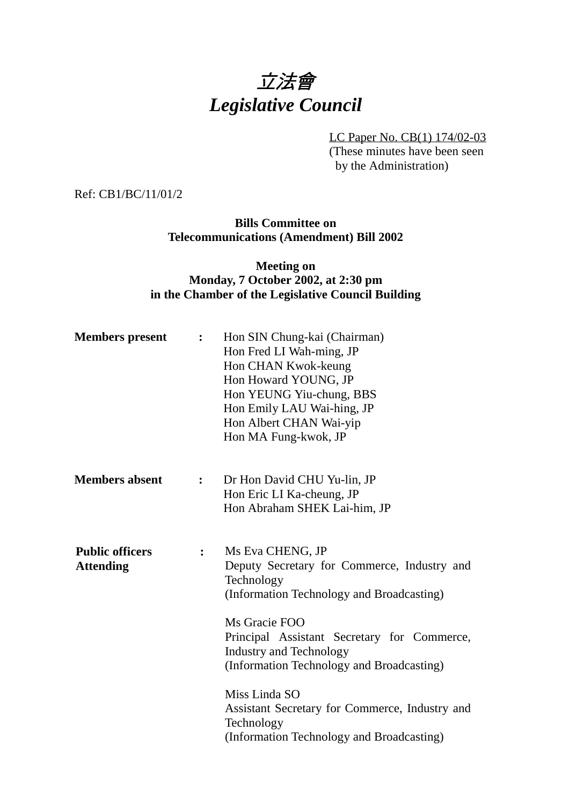# 立法會 *Legislative Council*

LC Paper No. CB(1) 174/02-03 (These minutes have been seen by the Administration)

Ref: CB1/BC/11/01/2

**Bills Committee on Telecommunications (Amendment) Bill 2002**

### **Meeting on Monday, 7 October 2002, at 2:30 pm in the Chamber of the Legislative Council Building**

| <b>Members</b> present                     | $\ddot{\cdot}$ | Hon SIN Chung-kai (Chairman)<br>Hon Fred LI Wah-ming, JP<br>Hon CHAN Kwok-keung<br>Hon Howard YOUNG, JP<br>Hon YEUNG Yiu-chung, BBS<br>Hon Emily LAU Wai-hing, JP<br>Hon Albert CHAN Wai-yip<br>Hon MA Fung-kwok, JP                                                      |
|--------------------------------------------|----------------|---------------------------------------------------------------------------------------------------------------------------------------------------------------------------------------------------------------------------------------------------------------------------|
| <b>Members absent</b>                      | $\ddot{\cdot}$ | Dr Hon David CHU Yu-lin, JP<br>Hon Eric LI Ka-cheung, JP<br>Hon Abraham SHEK Lai-him, JP                                                                                                                                                                                  |
| <b>Public officers</b><br><b>Attending</b> | $\ddot{\cdot}$ | Ms Eva CHENG, JP<br>Deputy Secretary for Commerce, Industry and<br>Technology<br>(Information Technology and Broadcasting)<br>Ms Gracie FOO<br>Principal Assistant Secretary for Commerce,<br><b>Industry and Technology</b><br>(Information Technology and Broadcasting) |
|                                            |                | Miss Linda SO<br>Assistant Secretary for Commerce, Industry and<br>Technology<br>(Information Technology and Broadcasting)                                                                                                                                                |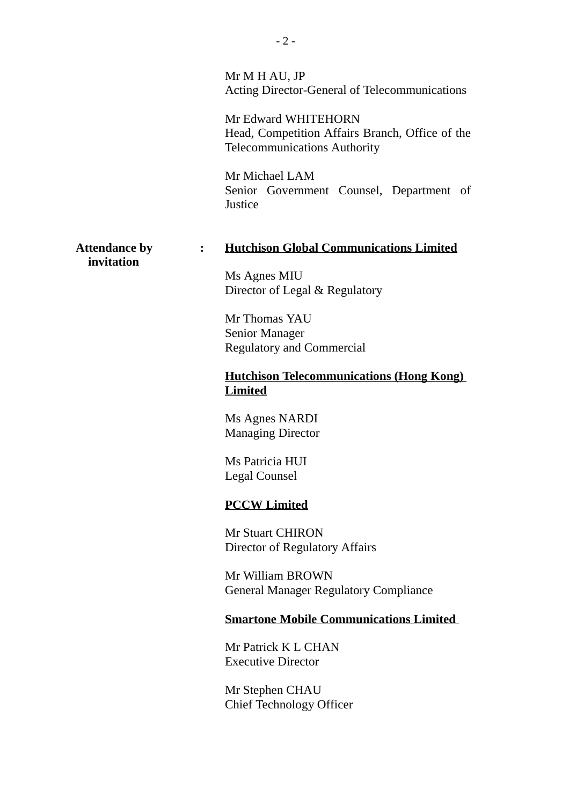|                                                      | Mr M H AU, JP<br>Acting Director-General of Telecommunications<br>Mr Edward WHITEHORN<br>Head, Competition Affairs Branch, Office of the<br><b>Telecommunications Authority</b><br>Mr Michael LAM<br>Senior Government Counsel, Department of<br>Justice |
|------------------------------------------------------|----------------------------------------------------------------------------------------------------------------------------------------------------------------------------------------------------------------------------------------------------------|
| <b>Attendance by</b><br>$\ddot{\cdot}$<br>invitation | <b>Hutchison Global Communications Limited</b><br>Ms Agnes MIU<br>Director of Legal & Regulatory                                                                                                                                                         |
|                                                      | Mr Thomas YAU<br><b>Senior Manager</b><br><b>Regulatory and Commercial</b>                                                                                                                                                                               |
|                                                      | <b>Hutchison Telecommunications (Hong Kong)</b><br><b>Limited</b>                                                                                                                                                                                        |
|                                                      | Ms Agnes NARDI<br><b>Managing Director</b>                                                                                                                                                                                                               |
|                                                      | Ms Patricia HUI<br>Legal Counsel                                                                                                                                                                                                                         |
|                                                      | <b>PCCW Limited</b>                                                                                                                                                                                                                                      |
|                                                      | <b>Mr Stuart CHIRON</b><br>Director of Regulatory Affairs                                                                                                                                                                                                |
|                                                      | Mr William BROWN<br><b>General Manager Regulatory Compliance</b>                                                                                                                                                                                         |
|                                                      | <b>Smartone Mobile Communications Limited</b>                                                                                                                                                                                                            |
|                                                      | Mr Patrick K L CHAN<br><b>Executive Director</b>                                                                                                                                                                                                         |
|                                                      | Mr Stephen CHAU<br><b>Chief Technology Officer</b>                                                                                                                                                                                                       |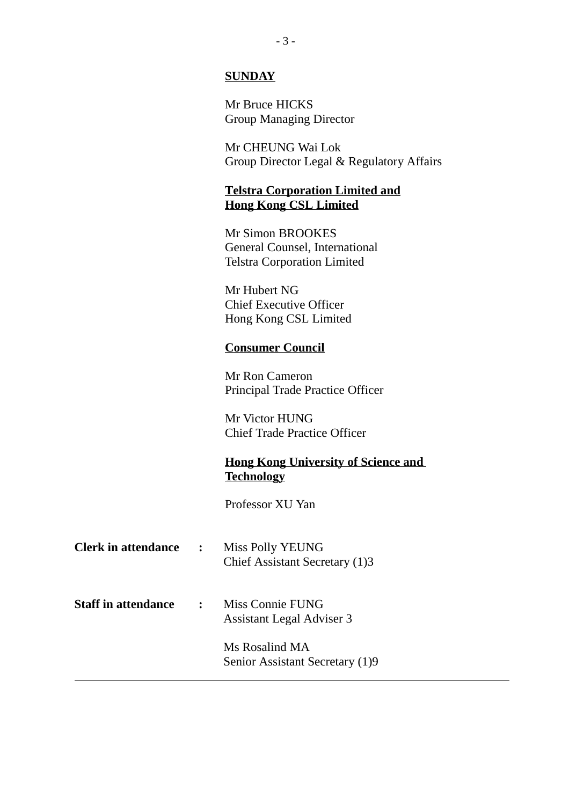#### **SUNDAY**

Mr Bruce HICKS Group Managing Director

Mr CHEUNG Wai Lok Group Director Legal & Regulatory Affairs

#### **Telstra Corporation Limited and Hong Kong CSL Limited**

Mr Simon BROOKES General Counsel, International Telstra Corporation Limited

Mr Hubert NG Chief Executive Officer Hong Kong CSL Limited

#### **Consumer Council**

Mr Ron Cameron Principal Trade Practice Officer

Mr Victor HUNG Chief Trade Practice Officer

## **Hong Kong University of Science and Technology**

Professor XU Yan

| <b>Clerk in attendance</b> | $\ddot{\cdot}$ | <b>Miss Polly YEUNG</b><br>Chief Assistant Secretary (1)3 |
|----------------------------|----------------|-----------------------------------------------------------|
| <b>Staff in attendance</b> | $\mathbf{r}$   | Miss Connie FUNG<br><b>Assistant Legal Adviser 3</b>      |
|                            |                | Ms Rosalind MA<br>Senior Assistant Secretary (1)9         |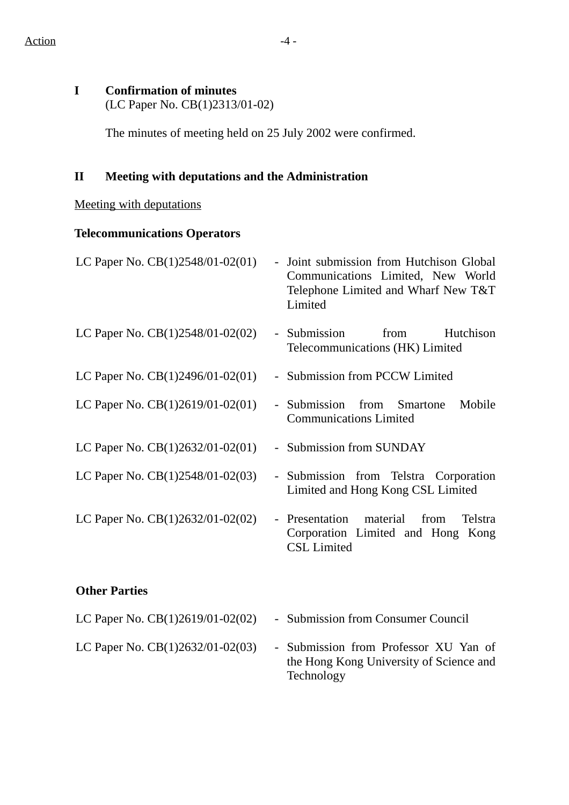# **I Confirmation of minutes**

(LC Paper No. CB(1)2313/01-02)

The minutes of meeting held on 25 July 2002 were confirmed.

# **II Meeting with deputations and the Administration**

## Meeting with deputations

# **Telecommunications Operators**

| LC Paper No. CB(1)2548/01-02(01)   | - Joint submission from Hutchison Global<br>Communications Limited, New World<br>Telephone Limited and Wharf New T&T<br>Limited |
|------------------------------------|---------------------------------------------------------------------------------------------------------------------------------|
| LC Paper No. $CB(1)2548/01-02(02)$ | - Submission<br>from<br>Hutchison<br>Telecommunications (HK) Limited                                                            |
| LC Paper No. $CB(1)2496/01-02(01)$ | - Submission from PCCW Limited                                                                                                  |
| LC Paper No. $CB(1)2619/01-02(01)$ | - Submission from Smartone<br>Mobile<br><b>Communications Limited</b>                                                           |
| LC Paper No. $CB(1)2632/01-02(01)$ | - Submission from SUNDAY                                                                                                        |
| LC Paper No. $CB(1)2548/01-02(03)$ | - Submission from Telstra Corporation<br>Limited and Hong Kong CSL Limited                                                      |
| LC Paper No. $CB(1)2632/01-02(02)$ | - Presentation material from<br>Telstra<br>Corporation Limited and Hong Kong<br><b>CSL</b> Limited                              |

### **Other Parties**

| LC Paper No. $CB(1)2619/01-02(02)$ | - Submission from Consumer Council                                                             |
|------------------------------------|------------------------------------------------------------------------------------------------|
| LC Paper No. $CB(1)2632/01-02(03)$ | - Submission from Professor XU Yan of<br>the Hong Kong University of Science and<br>Technology |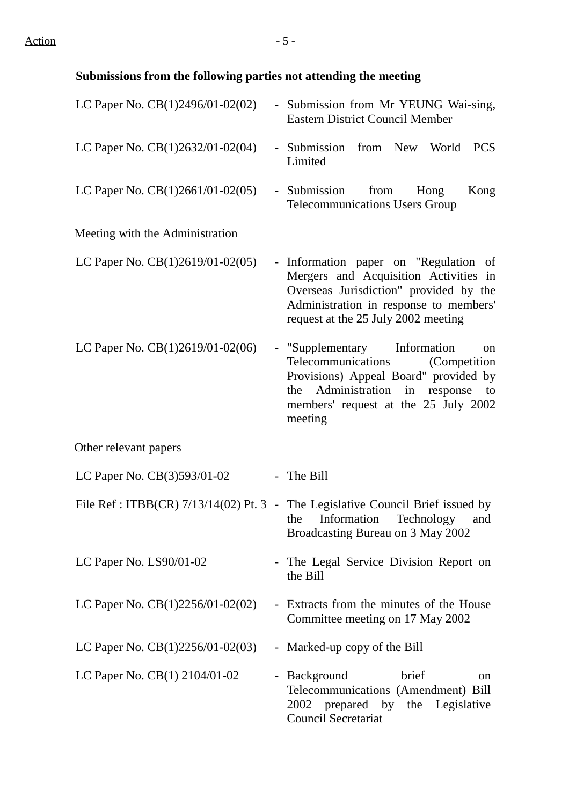# **Submissions from the following parties not attending the meeting**

| LC Paper No. CB(1)2496/01-02(02)   | - Submission from Mr YEUNG Wai-sing,<br><b>Eastern District Council Member</b>                                                                                                                              |
|------------------------------------|-------------------------------------------------------------------------------------------------------------------------------------------------------------------------------------------------------------|
| LC Paper No. $CB(1)2632/01-02(04)$ | - Submission from New World<br><b>PCS</b><br>Limited                                                                                                                                                        |
| LC Paper No. $CB(1)2661/01-02(05)$ | from<br>Kong<br>- Submission<br>Hong<br><b>Telecommunications Users Group</b>                                                                                                                               |
| Meeting with the Administration    |                                                                                                                                                                                                             |
| LC Paper No. $CB(1)2619/01-02(05)$ | - Information paper on "Regulation of<br>Mergers and Acquisition Activities in<br>Overseas Jurisdiction" provided by the<br>Administration in response to members'<br>request at the 25 July 2002 meeting   |
| LC Paper No. $CB(1)2619/01-02(06)$ | - "Supplementary Information"<br>on<br>Telecommunications<br>(Competition)<br>Provisions) Appeal Board" provided by<br>the Administration in response to<br>members' request at the 25 July 2002<br>meeting |
| Other relevant papers              |                                                                                                                                                                                                             |
| LC Paper No. CB(3)593/01-02        | The Bill                                                                                                                                                                                                    |
|                                    | File Ref: ITBB(CR) 7/13/14(02) Pt. 3 - The Legislative Council Brief issued by<br>Information<br>Technology<br>the<br>and<br>Broadcasting Bureau on 3 May 2002                                              |
| LC Paper No. $LS90/01-02$          | The Legal Service Division Report on<br>the Bill                                                                                                                                                            |
| LC Paper No. $CB(1)2256/01-02(02)$ | - Extracts from the minutes of the House<br>Committee meeting on 17 May 2002                                                                                                                                |
| LC Paper No. $CB(1)2256/01-02(03)$ | - Marked-up copy of the Bill                                                                                                                                                                                |
| LC Paper No. $CB(1)$ 2104/01-02    | - Background<br>brief<br><sub>on</sub><br>Telecommunications (Amendment) Bill<br>2002 prepared by the Legislative<br>Council Secretariat                                                                    |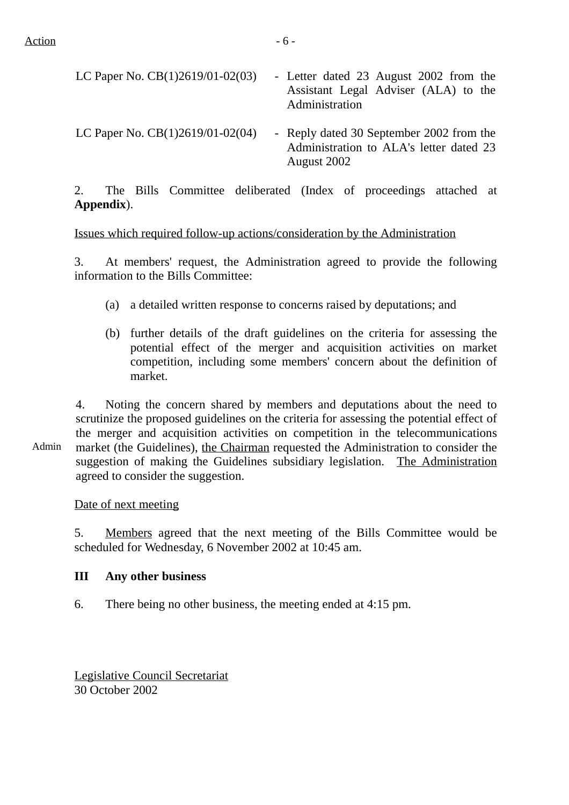| LC Paper No. $CB(1)2619/01-02(03)$ | - Letter dated 23 August 2002 from the<br>Assistant Legal Adviser (ALA) to the<br>Administration   |
|------------------------------------|----------------------------------------------------------------------------------------------------|
| LC Paper No. $CB(1)2619/01-02(04)$ | - Reply dated 30 September 2002 from the<br>Administration to ALA's letter dated 23<br>August 2002 |

2. The Bills Committee deliberated (Index of proceedings attached at **Appendix**).

Issues which required follow-up actions/consideration by the Administration

3. At members' request, the Administration agreed to provide the following information to the Bills Committee:

- (a) a detailed written response to concerns raised by deputations; and
- (b) further details of the draft guidelines on the criteria for assessing the potential effect of the merger and acquisition activities on market competition, including some members' concern about the definition of market.

4. Noting the concern shared by members and deputations about the need to scrutinize the proposed guidelines on the criteria for assessing the potential effect of the merger and acquisition activities on competition in the telecommunications market (the Guidelines), the Chairman requested the Administration to consider the suggestion of making the Guidelines subsidiary legislation. The Administration agreed to consider the suggestion.

Date of next meeting

5. Members agreed that the next meeting of the Bills Committee would be scheduled for Wednesday, 6 November 2002 at 10:45 am.

#### **III Any other business**

6. There being no other business, the meeting ended at 4:15 pm.

Legislative Council Secretariat 30 October 2002

Admin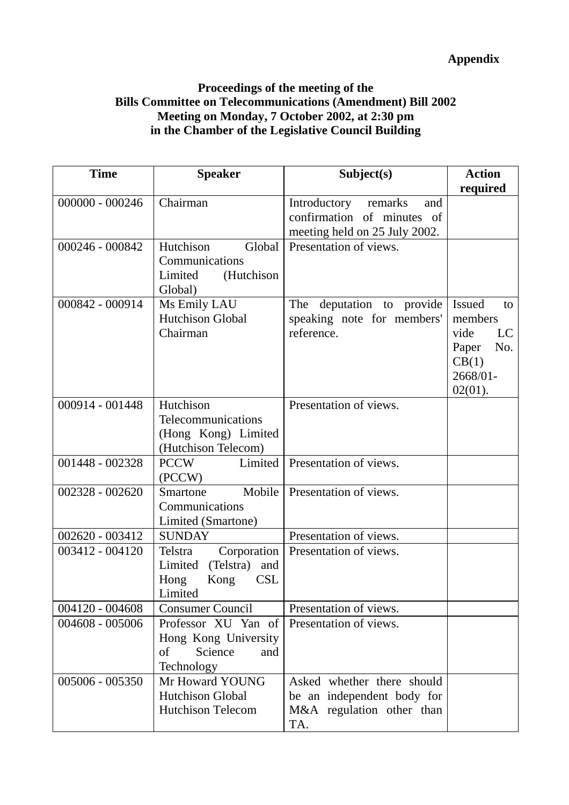# **Appendix**

## **Proceedings of the meeting of the Bills Committee on Telecommunications (Amendment) Bill 2002 Meeting on Monday, 7 October 2002, at 2:30 pm in the Chamber of the Legislative Council Building**

| <b>Time</b>       | <b>Speaker</b>                                                                                 | Subject(s)                                                                                    | <b>Action</b>                                                                                   |
|-------------------|------------------------------------------------------------------------------------------------|-----------------------------------------------------------------------------------------------|-------------------------------------------------------------------------------------------------|
|                   |                                                                                                |                                                                                               | required                                                                                        |
| $000000 - 000246$ | Chairman                                                                                       | Introductory<br>remarks<br>and<br>confirmation of minutes of<br>meeting held on 25 July 2002. |                                                                                                 |
| 000246 - 000842   | Hutchison<br>Global<br>Communications<br>Limited<br>(Hutchison<br>Global)                      | Presentation of views.                                                                        |                                                                                                 |
| 000842 - 000914   | Ms Emily LAU<br><b>Hutchison Global</b><br>Chairman                                            | deputation to provide<br>The<br>speaking note for members'<br>reference.                      | <b>Issued</b><br>to<br>members<br>vide<br>LC<br>No.<br>Paper<br>CB(1)<br>2668/01-<br>$02(01)$ . |
| 000914 - 001448   | Hutchison<br>Telecommunications<br>(Hong Kong) Limited<br>(Hutchison Telecom)                  | Presentation of views.                                                                        |                                                                                                 |
| 001448 - 002328   | Limited<br><b>PCCW</b><br>(PCCW)                                                               | Presentation of views.                                                                        |                                                                                                 |
| 002328 - 002620   | Mobile<br>Smartone<br>Communications<br>Limited (Smartone)                                     | Presentation of views.                                                                        |                                                                                                 |
| 002620 - 003412   | <b>SUNDAY</b>                                                                                  | Presentation of views.                                                                        |                                                                                                 |
| 003412 - 004120   | Corporation<br>Telstra<br>Limited<br>(Telstra)<br>and<br><b>CSL</b><br>Hong<br>Kong<br>Limited | Presentation of views.                                                                        |                                                                                                 |
| 004120 - 004608   | <b>Consumer Council</b>                                                                        | Presentation of views.                                                                        |                                                                                                 |
| 004608 - 005006   | Professor XU Yan of<br>Hong Kong University<br>of<br>Science<br>and<br>Technology              | Presentation of views.                                                                        |                                                                                                 |
| 005006 - 005350   | Mr Howard YOUNG<br>Hutchison Global<br><b>Hutchison Telecom</b>                                | Asked whether there should<br>be an independent body for<br>M&A regulation other than<br>TA.  |                                                                                                 |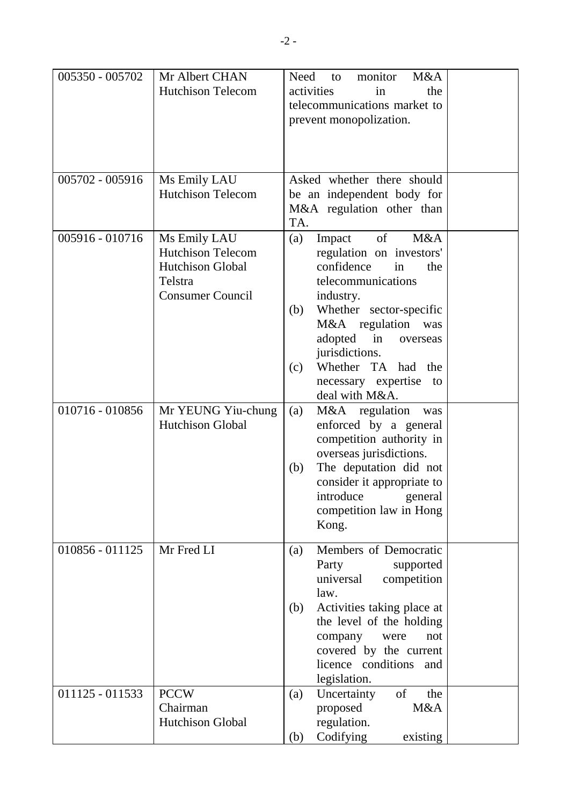| 005350 - 005702 | Mr Albert CHAN<br><b>Hutchison Telecom</b>                                                         | monitor<br>M&A<br>Need<br>to<br>activities<br>the<br>in<br>telecommunications market to<br>prevent monopolization.                                                                                                                                                                                      |
|-----------------|----------------------------------------------------------------------------------------------------|---------------------------------------------------------------------------------------------------------------------------------------------------------------------------------------------------------------------------------------------------------------------------------------------------------|
| 005702 - 005916 | Ms Emily LAU<br><b>Hutchison Telecom</b>                                                           | Asked whether there should<br>be an independent body for<br>M&A regulation other than<br>TA.                                                                                                                                                                                                            |
| 005916 - 010716 | Ms Emily LAU<br><b>Hutchison Telecom</b><br>Hutchison Global<br>Telstra<br><b>Consumer Council</b> | M&A<br>of<br>(a)<br>Impact<br>regulation on investors'<br>confidence<br>the<br>in<br>telecommunications<br>industry.<br>Whether sector-specific<br>(b)<br>M&A regulation<br>was<br>in<br>adopted<br>overseas<br>jurisdictions.<br>Whether TA had the<br>(c)<br>necessary expertise to<br>deal with M&A. |
| 010716 - 010856 | Mr YEUNG Yiu-chung<br>Hutchison Global                                                             | M&A regulation<br>(a)<br>was<br>enforced by a general<br>competition authority in<br>overseas jurisdictions.<br>The deputation did not<br>(b)<br>consider it appropriate to<br>introduce general<br>competition law in Hong<br>Kong.                                                                    |
| 010856 - 011125 | Mr Fred LI                                                                                         | Members of Democratic<br>(a)<br>Party<br>supported<br>universal<br>competition<br>law.<br>Activities taking place at<br>(b)<br>the level of the holding<br>company<br>were<br>not<br>covered by the current<br>licence conditions and<br>legislation.                                                   |
| 011125 - 011533 | <b>PCCW</b><br>Chairman<br>Hutchison Global                                                        | of<br>Uncertainty<br>the<br>(a)<br>M&A<br>proposed<br>regulation.<br>Codifying<br>existing<br>(b)                                                                                                                                                                                                       |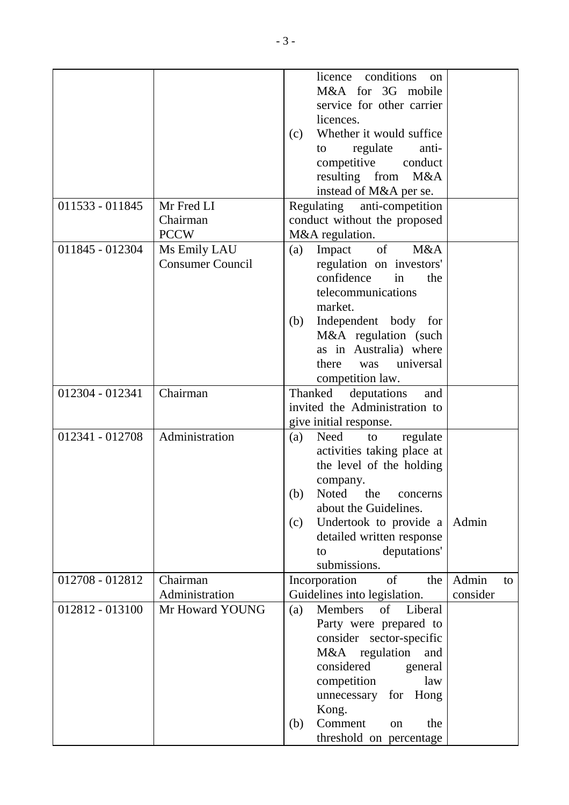|                 |                         |     | conditions<br>licence<br><sub>on</sub> |          |    |
|-----------------|-------------------------|-----|----------------------------------------|----------|----|
|                 |                         |     | M&A for 3G mobile                      |          |    |
|                 |                         |     | service for other carrier              |          |    |
|                 |                         |     | licences.                              |          |    |
|                 |                         | (c) | Whether it would suffice               |          |    |
|                 |                         |     | regulate<br>anti-<br>to                |          |    |
|                 |                         |     | competitive<br>conduct                 |          |    |
|                 |                         |     | resulting from<br>M&A                  |          |    |
|                 |                         |     | instead of M&A per se.                 |          |    |
| 011533 - 011845 | Mr Fred LI              |     | Regulating anti-competition            |          |    |
|                 | Chairman                |     | conduct without the proposed           |          |    |
|                 | <b>PCCW</b>             |     | M&A regulation.                        |          |    |
| 011845 - 012304 | Ms Emily LAU            | (a) | of<br>M&A<br>Impact                    |          |    |
|                 | <b>Consumer Council</b> |     | regulation on investors'               |          |    |
|                 |                         |     | confidence<br>in<br>the                |          |    |
|                 |                         |     | telecommunications                     |          |    |
|                 |                         |     | market.                                |          |    |
|                 |                         | (b) | Independent body for                   |          |    |
|                 |                         |     | M&A regulation (such                   |          |    |
|                 |                         |     | as in Australia) where                 |          |    |
|                 |                         |     | universal<br>there<br>was              |          |    |
|                 |                         |     | competition law.                       |          |    |
| 012304 - 012341 | Chairman                |     | Thanked<br>deputations<br>and          |          |    |
|                 |                         |     | invited the Administration to          |          |    |
|                 |                         |     | give initial response.                 |          |    |
| 012341 - 012708 | Administration          | (a) | Need<br>regulate<br>to                 |          |    |
|                 |                         |     | activities taking place at             |          |    |
|                 |                         |     | the level of the holding               |          |    |
|                 |                         |     | company.                               |          |    |
|                 |                         |     | (b) Noted the concerns                 |          |    |
|                 |                         |     | about the Guidelines.                  |          |    |
|                 |                         | (c) | Undertook to provide a                 | Admin    |    |
|                 |                         |     | detailed written response              |          |    |
|                 |                         |     | deputations'<br>to                     |          |    |
|                 |                         |     | submissions.                           |          |    |
| 012708 - 012812 | Chairman                |     | of<br>Incorporation<br>the             | Admin    | to |
|                 | Administration          |     | Guidelines into legislation.           | consider |    |
| 012812 - 013100 | Mr Howard YOUNG         | (a) | of Liberal<br>Members                  |          |    |
|                 |                         |     | Party were prepared to                 |          |    |
|                 |                         |     | consider sector-specific               |          |    |
|                 |                         |     | M&A regulation<br>and                  |          |    |
|                 |                         |     | considered<br>general                  |          |    |
|                 |                         |     | competition<br>law                     |          |    |
|                 |                         |     | for Hong<br>unnecessary                |          |    |
|                 |                         |     | Kong.                                  |          |    |
|                 |                         | (b) | Comment<br>the<br>on                   |          |    |
|                 |                         |     | threshold on percentage                |          |    |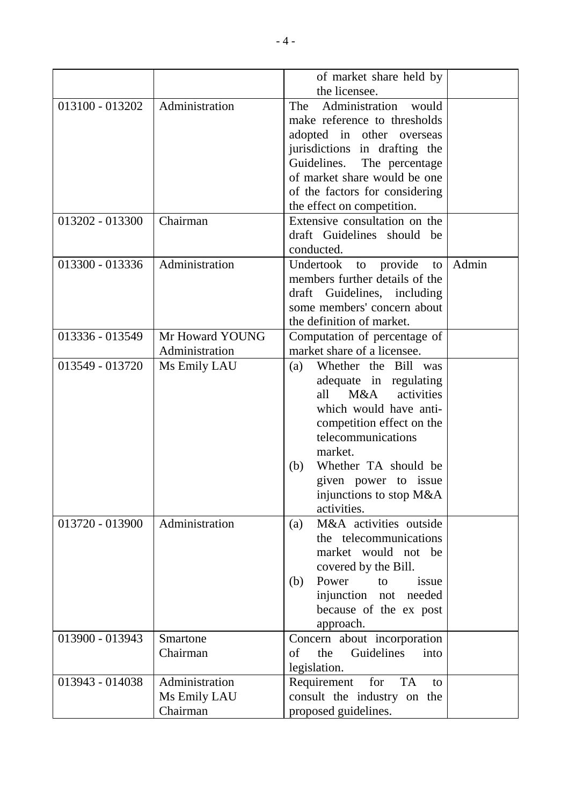|                 |                 | of market share held by               |       |
|-----------------|-----------------|---------------------------------------|-------|
|                 |                 | the licensee.                         |       |
| 013100 - 013202 | Administration  | Administration<br>The<br>would        |       |
|                 |                 | make reference to thresholds          |       |
|                 |                 | adopted in other overseas             |       |
|                 |                 | jurisdictions in drafting the         |       |
|                 |                 | Guidelines. The percentage            |       |
|                 |                 | of market share would be one          |       |
|                 |                 | of the factors for considering        |       |
|                 |                 | the effect on competition.            |       |
| 013202 - 013300 | Chairman        | Extensive consultation on the         |       |
|                 |                 | draft Guidelines should be            |       |
|                 |                 | conducted.                            |       |
| 013300 - 013336 | Administration  | Undertook<br>provide<br>to<br>to      | Admin |
|                 |                 | members further details of the        |       |
|                 |                 | draft Guidelines, including           |       |
|                 |                 | some members' concern about           |       |
|                 |                 | the definition of market.             |       |
| 013336 - 013549 | Mr Howard YOUNG | Computation of percentage of          |       |
|                 | Administration  | market share of a licensee.           |       |
| 013549 - 013720 | Ms Emily LAU    | Whether the Bill was<br>(a)           |       |
|                 |                 | adequate in regulating                |       |
|                 |                 | all M&A activities                    |       |
|                 |                 | which would have anti-                |       |
|                 |                 | competition effect on the             |       |
|                 |                 | telecommunications                    |       |
|                 |                 | market.                               |       |
|                 |                 | Whether TA should be<br>(b)           |       |
|                 |                 | given power to issue                  |       |
|                 |                 | injunctions to stop M&A               |       |
|                 |                 | activities.                           |       |
| 013720 - 013900 | Administration  | M&A activities outside<br>(a)         |       |
|                 |                 | the telecommunications                |       |
|                 |                 | market would not be                   |       |
|                 |                 | covered by the Bill.                  |       |
|                 |                 | Power<br>(b)<br>to<br>issue           |       |
|                 |                 | injunction not needed                 |       |
|                 |                 | because of the ex post                |       |
|                 |                 | approach.                             |       |
| 013900 - 013943 | Smartone        | Concern about incorporation           |       |
|                 | Chairman        | Guidelines<br>$\sigma$<br>the<br>into |       |
|                 |                 | legislation.                          |       |
| 013943 - 014038 | Administration  | Requirement<br><b>TA</b><br>for<br>to |       |
|                 | Ms Emily LAU    | consult the industry on the           |       |
|                 | Chairman        | proposed guidelines.                  |       |